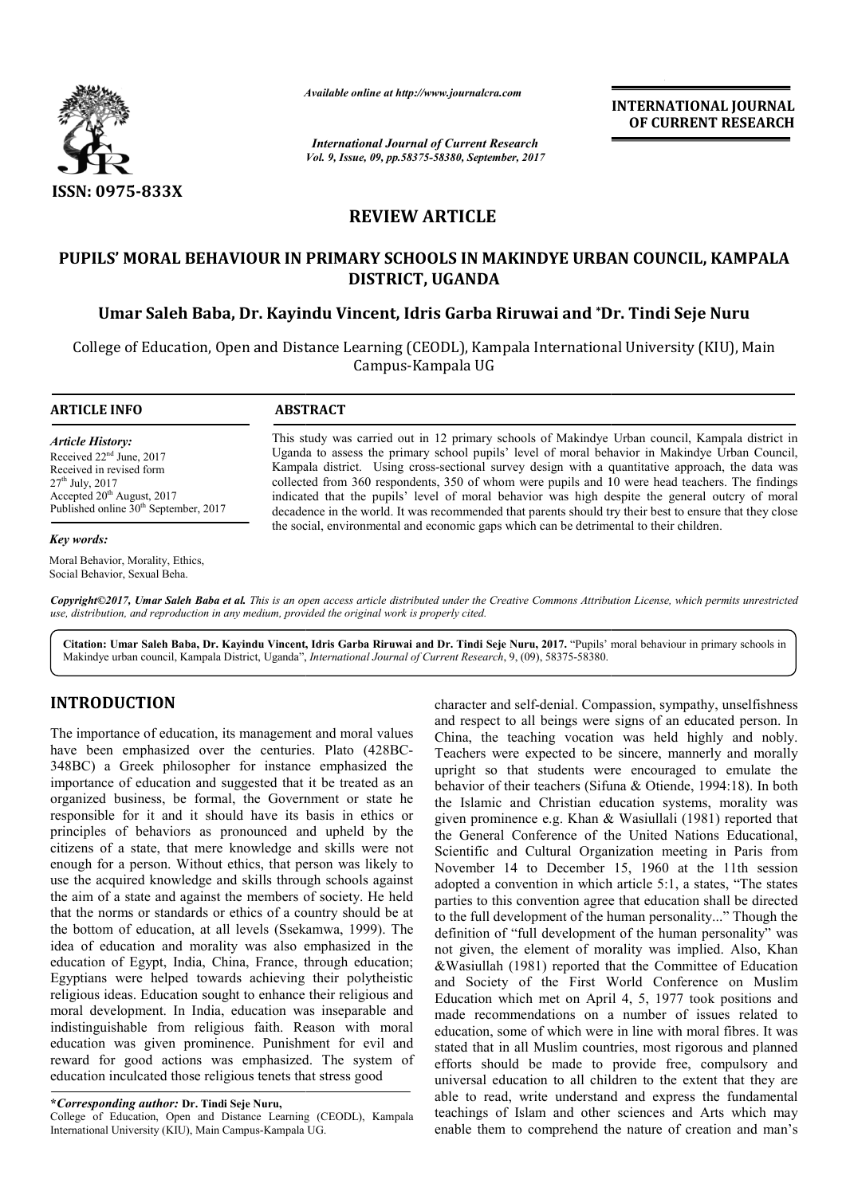

*Available online at http://www.journal http://www.journalcra.com*

*International Journal of Current Research Vol. 9, Issue, 09, pp.58375-58380, September, 2017* **INTERNATIONAL JOURNAL OF CURRENT RESEARCH** 

# **REVIEW ARTICLE**

# **PUPILS' MORAL BEHAVIOUR IN PRIMARY SCHOOLS IN MAKINDYE URBAN COUNCIL, KAMPALA PUPILS' MORAL PRIMARY SCHOOLS URBAN COUNCIL, KAMPALA Dr. DISTRICT, UGANDA**

**Umar Saleh Baba, Dr. Kayindu Vincent, Idris Garba Riruwai and \*Dr. Tindi Seje Nuru**

College of Education, Open and Distance Learning (CEODL), Kampala International University (KIU), Main Campus-Kampala UG

**ARTICLE INFO ABSTRACT**

*Article History:* Received 22<sup>nd</sup> June, 2017 Received in revised form 27th July, 2017 Accepted 20<sup>th</sup> August, 2017 Published online  $30<sup>th</sup>$  September, 2017

#### *Key words:*

Moral Behavior, Morality, Ethics, Social Behavior, Sexual Beha.

This study was carried out in 12 primary schools of Makindye Urban council, Kampala district in Uganda to assess the primary school pupils' level of moral behavior in Makindye Urban Council, Kampala district. Using cross-sectional survey design with a quantitative approach, the data was collected from 360 respondents, 350 of whom were pupils and 10 were head teachers. The findings indicated that the pupils' level of moral behavior was high despite the general outcry of moral decadence in the world. It was recommended that parents should try their best to ensure that they close the social, environmental and economic gaps which can be detrimental to their children. Uganda to assess the primary school pupils' level of moral behavior in Makindye Urban Council, Kampala district. Using cross-sectional survey design with a quantitative approach, the data was collected from 360 respondents

*Copyright©2017, Umar Saleh Baba et al. This is an open access article distributed under the Creative Commons Att Attribution License, which ribution License, permits unrestricted use, distribution, and reproduction in any medium, provided the original work is properly cited.*

Citation: Umar Saleh Baba, Dr. Kayindu Vincent, Idris Garba Riruwai and Dr. Tindi Seje Nuru, 2017. "Pupils' moral behaviour in primary schools in Makindye urban council, Kampala District, Uganda", *International Journal of Current Research*, 9, (09), 58375-58380.

# **INTRODUCTION**

The importance of education, its management and moral values have been emphasized over the centuries. Plato (428BC (428BC-348BC) a Greek philosopher for instance emphasized the importance of education and suggested that it be treated as an organized business, be formal, the Government or state he responsible for it and it should have its basis in ethics or principles of behaviors as pronounced and upheld by the citizens of a state, that mere knowledge and skills were not enough for a person. Without ethics, that person was likely to responsible for it and it should have its basis in ethics or principles of behaviors as pronounced and upheld by the citizens of a state, that mere knowledge and skills were not enough for a person. Without ethics, that pe the aim of a state and against the members of society. He held that the norms or standards or ethics of a country should be at the bottom of education, at all levels (Ssekamwa, 1999). The idea of education and morality was also emphasized in the education of Egypt, India, China, France, through education; Egyptians were helped towards achieving their polytheistic religious ideas. Education sought to enhance their religious and moral development. In India, education was inseparable and indistinguishable from religious faith. Reason with moral education was given prominence. Punishment for evil and reward for good actions was emphasized. The system of education inculcated those religious tenets that stress good

#### **\****Corresponding author:* **Dr. Tindi Seje Nuru,**

College of Education, Open and Distance Learning (CEODL), Kampala International University (KIU), Main Campus-Kampala UG.

**CITION**<br>
character and sefect-and self-denial. Compassion, sympathy, unselfishness<br>
and respect to all beings were signs of an educated prison. In<br>
a emphasized over the centuries. Plato (428BC-<br>
character sexpected to be character and self-denial. Compassion, sympathy, unselfishness and respect to all beings were signs of an educated person. In China, the teaching vocation was held highly and nobly. Teachers were expected to be sincere, mannerly and morally upright so that students were encouraged to emulate the behavior of their teachers (Sifuna & Otiende, 1994:18). In both the Islamic and Christian education systems, morality was given prominence e.g. Khan & Wasiullali (1981) reported that the General Conference of the United Nations Educational, Scientific and Cultural Organization meeting in Paris from November 14 to December 15, 1960 at the 11th session adopted a convention in which article 5:1, a states, "The states parties to this convention agree that education shall be directed to the full development of the human personality..." Though the definition of "full development of the human personality" was not given, the element of morality was implied. Also, Khan &Wasiullah (1981) reported that the Committee of Education and Society of the First World Conference on Muslim Education which met on April 4, 5, 1977 took positions and made recommendations on a number of issues related to education, some of which were in line with moral fibres. It was stated that in all Muslim countries, most rigorous and planned efforts should be made to provide free, compulsory and universal education to all children to the extent that they are able to read, write understand and express the fundamental teachings of Islam and other sciences and Arts which may enable them to comprehend the nature of creation and man's China, the teaching vocation was held highly and nobly.<br>Teachers were expected to be sincere, mannerly and morally upright so that students were encouraged to emulate the behavior of their teachers (Sifuna  $\&$  Otiende, 1 Islamic and Christian education systems, morality was<br>n prominence e.g. Khan & Wasiullali (1981) reported that<br>General Conference of the United Nations Educational,<br>ntific and Cultural Organization meeting in Paris from convention in which article 5:1, a states, "The states this convention agree that education shall be directed development of the human personality..." Though the of "full development of the human personality" was **EXERVIGEN COMMITTERNATIONAL JOURNAL FORMIGENT RESEARCHED STAND SOFT COMMITTEE COMMITTEE COMMITTEE COMMITTEE COMMITTEE COMMITTEE COMMITTEE COMMITTEE COMMITTEE COMMITTEE COMMITTEE FIRST WORLD AND A S Garba Rirutuval and "D**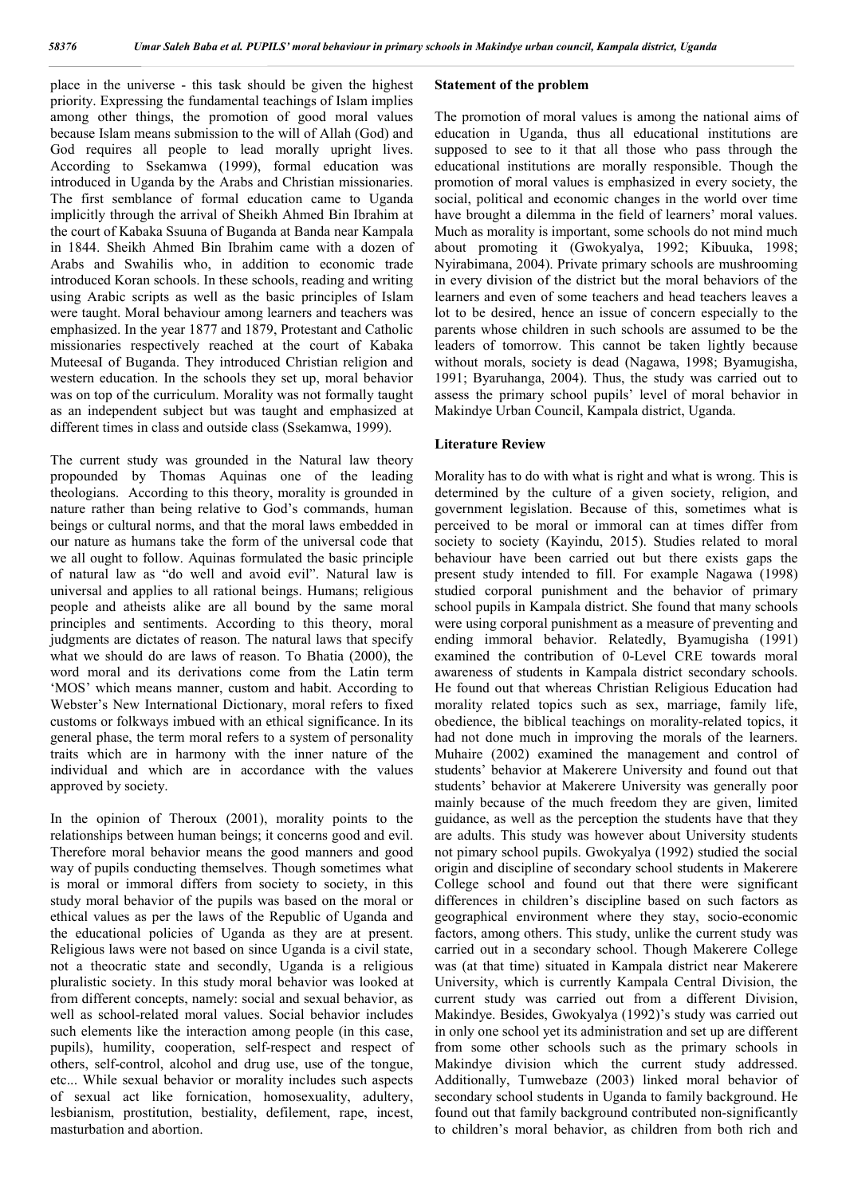place in the universe - this task should be given the highest priority. Expressing the fundamental teachings of Islam implies among other things, the promotion of good moral values because Islam means submission to the will of Allah (God) and God requires all people to lead morally upright lives. According to Ssekamwa (1999), formal education was introduced in Uganda by the Arabs and Christian missionaries. The first semblance of formal education came to Uganda implicitly through the arrival of Sheikh Ahmed Bin Ibrahim at the court of Kabaka Ssuuna of Buganda at Banda near Kampala in 1844. Sheikh Ahmed Bin Ibrahim came with a dozen of Arabs and Swahilis who, in addition to economic trade introduced Koran schools. In these schools, reading and writing using Arabic scripts as well as the basic principles of Islam were taught. Moral behaviour among learners and teachers was emphasized. In the year 1877 and 1879, Protestant and Catholic missionaries respectively reached at the court of Kabaka MuteesaI of Buganda. They introduced Christian religion and western education. In the schools they set up, moral behavior was on top of the curriculum. Morality was not formally taught as an independent subject but was taught and emphasized at different times in class and outside class (Ssekamwa, 1999).

The current study was grounded in the Natural law theory propounded by Thomas Aquinas one of the leading theologians. According to this theory, morality is grounded in nature rather than being relative to God's commands, human beings or cultural norms, and that the moral laws embedded in our nature as humans take the form of the universal code that we all ought to follow. Aquinas formulated the basic principle of natural law as "do well and avoid evil". Natural law is universal and applies to all rational beings. Humans; religious people and atheists alike are all bound by the same moral principles and sentiments. According to this theory, moral judgments are dictates of reason. The natural laws that specify what we should do are laws of reason. To Bhatia (2000), the word moral and its derivations come from the Latin term 'MOS' which means manner, custom and habit. According to Webster's New International Dictionary, moral refers to fixed customs or folkways imbued with an ethical significance. In its general phase, the term moral refers to a system of personality traits which are in harmony with the inner nature of the individual and which are in accordance with the values approved by society.

In the opinion of Theroux (2001), morality points to the relationships between human beings; it concerns good and evil. Therefore moral behavior means the good manners and good way of pupils conducting themselves. Though sometimes what is moral or immoral differs from society to society, in this study moral behavior of the pupils was based on the moral or ethical values as per the laws of the Republic of Uganda and the educational policies of Uganda as they are at present. Religious laws were not based on since Uganda is a civil state, not a theocratic state and secondly, Uganda is a religious pluralistic society. In this study moral behavior was looked at from different concepts, namely: social and sexual behavior, as well as school-related moral values. Social behavior includes such elements like the interaction among people (in this case, pupils), humility, cooperation, self-respect and respect of others, self-control, alcohol and drug use, use of the tongue, etc... While sexual behavior or morality includes such aspects of sexual act like fornication, homosexuality, adultery, lesbianism, prostitution, bestiality, defilement, rape, incest, masturbation and abortion.

#### **Statement of the problem**

The promotion of moral values is among the national aims of education in Uganda, thus all educational institutions are supposed to see to it that all those who pass through the educational institutions are morally responsible. Though the promotion of moral values is emphasized in every society, the social, political and economic changes in the world over time have brought a dilemma in the field of learners' moral values. Much as morality is important, some schools do not mind much about promoting it (Gwokyalya, 1992; Kibuuka, 1998; Nyirabimana, 2004). Private primary schools are mushrooming in every division of the district but the moral behaviors of the learners and even of some teachers and head teachers leaves a lot to be desired, hence an issue of concern especially to the parents whose children in such schools are assumed to be the leaders of tomorrow. This cannot be taken lightly because without morals, society is dead (Nagawa, 1998; Byamugisha, 1991; Byaruhanga, 2004). Thus, the study was carried out to assess the primary school pupils' level of moral behavior in Makindye Urban Council, Kampala district, Uganda.

#### **Literature Review**

Morality has to do with what is right and what is wrong. This is determined by the culture of a given society, religion, and government legislation. Because of this, sometimes what is perceived to be moral or immoral can at times differ from society to society (Kayindu, 2015). Studies related to moral behaviour have been carried out but there exists gaps the present study intended to fill. For example Nagawa (1998) studied corporal punishment and the behavior of primary school pupils in Kampala district. She found that many schools were using corporal punishment as a measure of preventing and ending immoral behavior. Relatedly, Byamugisha (1991) examined the contribution of 0-Level CRE towards moral awareness of students in Kampala district secondary schools. He found out that whereas Christian Religious Education had morality related topics such as sex, marriage, family life, obedience, the biblical teachings on morality-related topics, it had not done much in improving the morals of the learners. Muhaire (2002) examined the management and control of students' behavior at Makerere University and found out that students' behavior at Makerere University was generally poor mainly because of the much freedom they are given, limited guidance, as well as the perception the students have that they are adults. This study was however about University students not pimary school pupils. Gwokyalya (1992) studied the social origin and discipline of secondary school students in Makerere College school and found out that there were significant differences in children's discipline based on such factors as geographical environment where they stay, socio-economic factors, among others. This study, unlike the current study was carried out in a secondary school. Though Makerere College was (at that time) situated in Kampala district near Makerere University, which is currently Kampala Central Division, the current study was carried out from a different Division, Makindye. Besides, Gwokyalya (1992)'s study was carried out in only one school yet its administration and set up are different from some other schools such as the primary schools in Makindye division which the current study addressed. Additionally, Tumwebaze (2003) linked moral behavior of secondary school students in Uganda to family background. He found out that family background contributed non-significantly to children's moral behavior, as children from both rich and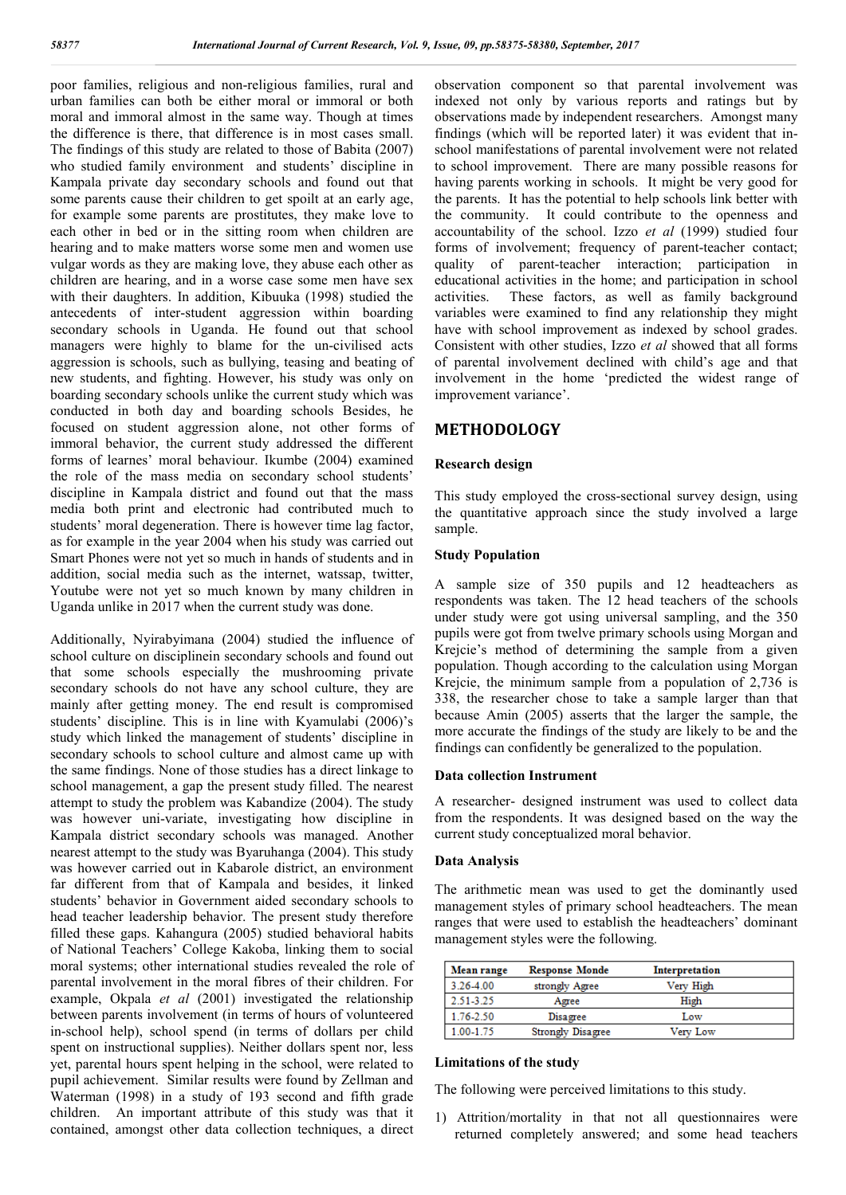poor families, religious and non-religious families, rural and urban families can both be either moral or immoral or both moral and immoral almost in the same way. Though at times the difference is there, that difference is in most cases small. The findings of this study are related to those of Babita (2007) who studied family environment and students' discipline in Kampala private day secondary schools and found out that some parents cause their children to get spoilt at an early age, for example some parents are prostitutes, they make love to each other in bed or in the sitting room when children are hearing and to make matters worse some men and women use vulgar words as they are making love, they abuse each other as children are hearing, and in a worse case some men have sex with their daughters. In addition, Kibuuka (1998) studied the antecedents of inter-student aggression within boarding secondary schools in Uganda. He found out that school managers were highly to blame for the un-civilised acts aggression is schools, such as bullying, teasing and beating of new students, and fighting. However, his study was only on boarding secondary schools unlike the current study which was conducted in both day and boarding schools Besides, he focused on student aggression alone, not other forms of immoral behavior, the current study addressed the different forms of learnes' moral behaviour. Ikumbe (2004) examined the role of the mass media on secondary school students' discipline in Kampala district and found out that the mass media both print and electronic had contributed much to students' moral degeneration. There is however time lag factor, as for example in the year 2004 when his study was carried out Smart Phones were not yet so much in hands of students and in addition, social media such as the internet, watssap, twitter, Youtube were not yet so much known by many children in Uganda unlike in 2017 when the current study was done.

Additionally, Nyirabyimana (2004) studied the influence of school culture on disciplinein secondary schools and found out that some schools especially the mushrooming private secondary schools do not have any school culture, they are mainly after getting money. The end result is compromised students' discipline. This is in line with Kyamulabi (2006)'s study which linked the management of students' discipline in secondary schools to school culture and almost came up with the same findings. None of those studies has a direct linkage to school management, a gap the present study filled. The nearest attempt to study the problem was Kabandize (2004). The study was however uni-variate, investigating how discipline in Kampala district secondary schools was managed. Another nearest attempt to the study was Byaruhanga (2004). This study was however carried out in Kabarole district, an environment far different from that of Kampala and besides, it linked students' behavior in Government aided secondary schools to head teacher leadership behavior. The present study therefore filled these gaps. Kahangura (2005) studied behavioral habits of National Teachers' College Kakoba, linking them to social moral systems; other international studies revealed the role of parental involvement in the moral fibres of their children. For example, Okpala *et al* (2001) investigated the relationship between parents involvement (in terms of hours of volunteered in-school help), school spend (in terms of dollars per child spent on instructional supplies). Neither dollars spent nor, less yet, parental hours spent helping in the school, were related to pupil achievement. Similar results were found by Zellman and Waterman (1998) in a study of 193 second and fifth grade children. An important attribute of this study was that it contained, amongst other data collection techniques, a direct observation component so that parental involvement was indexed not only by various reports and ratings but by observations made by independent researchers. Amongst many findings (which will be reported later) it was evident that inschool manifestations of parental involvement were not related to school improvement. There are many possible reasons for having parents working in schools. It might be very good for the parents. It has the potential to help schools link better with the community. It could contribute to the openness and accountability of the school. Izzo *et al* (1999) studied four forms of involvement; frequency of parent-teacher contact; quality of parent-teacher interaction; participation in educational activities in the home; and participation in school activities. These factors, as well as family background variables were examined to find any relationship they might have with school improvement as indexed by school grades. Consistent with other studies, Izzo *et al* showed that all forms of parental involvement declined with child's age and that involvement in the home 'predicted the widest range of improvement variance'.

### **METHODOLOGY**

#### **Research design**

This study employed the cross-sectional survey design, using the quantitative approach since the study involved a large sample.

#### **Study Population**

A sample size of 350 pupils and 12 headteachers as respondents was taken. The 12 head teachers of the schools under study were got using universal sampling, and the 350 pupils were got from twelve primary schools using Morgan and Krejcie's method of determining the sample from a given population. Though according to the calculation using Morgan Krejcie, the minimum sample from a population of 2,736 is 338, the researcher chose to take a sample larger than that because Amin (2005) asserts that the larger the sample, the more accurate the findings of the study are likely to be and the findings can confidently be generalized to the population.

#### **Data collection Instrument**

A researcher- designed instrument was used to collect data from the respondents. It was designed based on the way the current study conceptualized moral behavior.

#### **Data Analysis**

The arithmetic mean was used to get the dominantly used management styles of primary school headteachers. The mean ranges that were used to establish the headteachers' dominant management styles were the following.

| Mean range | <b>Response Monde</b> | Interpretation |  |
|------------|-----------------------|----------------|--|
| 3.26-4.00  | strongly Agree        | Very High      |  |
| 2.51-3.25  | Agree                 | High           |  |
| 1.76-2.50  | Disagree              | Low            |  |
| 1.00-1.75  | Strongly Disagree     | Very Low       |  |

#### **Limitations of the study**

The following were perceived limitations to this study.

1) Attrition/mortality in that not all questionnaires were returned completely answered; and some head teachers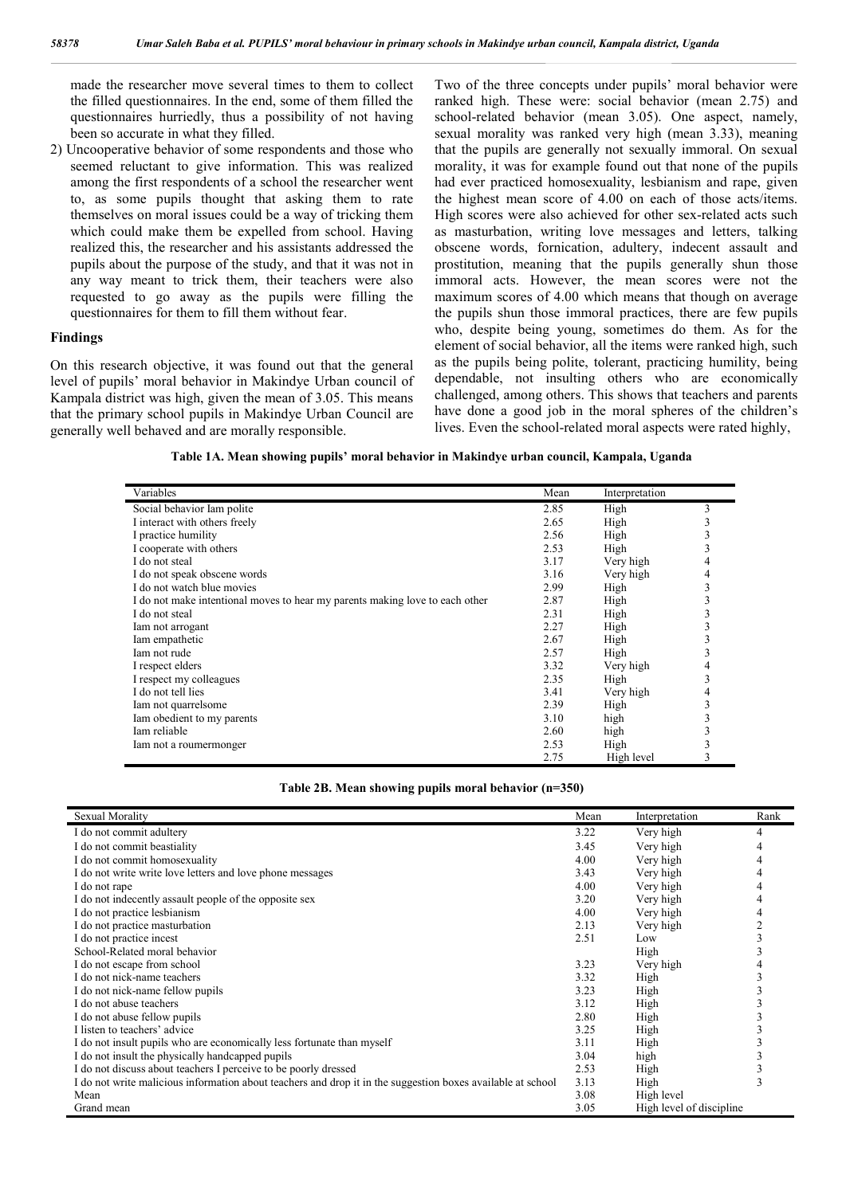made the researcher move several times to them to collect the filled questionnaires. In the end, some of them filled the questionnaires hurriedly, thus a possibility of not having been so accurate in what they filled.

2) Uncooperative behavior of some respondents and those who seemed reluctant to give information. This was realized among the first respondents of a school the researcher went to, as some pupils thought that asking them to rate themselves on moral issues could be a way of tricking them which could make them be expelled from school. Having realized this, the researcher and his assistants addressed the pupils about the purpose of the study, and that it was not in any way meant to trick them, their teachers were also requested to go away as the pupils were filling the questionnaires for them to fill them without fear.

#### **Findings**

On this research objective, it was found out that the general level of pupils' moral behavior in Makindye Urban council of Kampala district was high, given the mean of 3.05. This means that the primary school pupils in Makindye Urban Council are generally well behaved and are morally responsible.

Two of the three concepts under pupils' moral behavior were ranked high. These were: social behavior (mean 2.75) and school-related behavior (mean 3.05). One aspect, namely, sexual morality was ranked very high (mean 3.33), meaning that the pupils are generally not sexually immoral. On sexual morality, it was for example found out that none of the pupils had ever practiced homosexuality, lesbianism and rape, given the highest mean score of 4.00 on each of those acts/items. High scores were also achieved for other sex-related acts such as masturbation, writing love messages and letters, talking obscene words, fornication, adultery, indecent assault and prostitution, meaning that the pupils generally shun those immoral acts. However, the mean scores were not the maximum scores of 4.00 which means that though on average the pupils shun those immoral practices, there are few pupils who, despite being young, sometimes do them. As for the element of social behavior, all the items were ranked high, such as the pupils being polite, tolerant, practicing humility, being dependable, not insulting others who are economically challenged, among others. This shows that teachers and parents have done a good job in the moral spheres of the children's lives. Even the school-related moral aspects were rated highly,

**Table 1A. Mean showing pupils' moral behavior in Makindye urban council, Kampala, Uganda**

| Variables                                                                    | Mean | Interpretation |   |
|------------------------------------------------------------------------------|------|----------------|---|
| Social behavior Iam polite                                                   | 2.85 | High           | 3 |
| I interact with others freely                                                | 2.65 | High           |   |
| I practice humility                                                          | 2.56 | High           |   |
| I cooperate with others                                                      | 2.53 | High           |   |
| I do not steal                                                               | 3.17 | Very high      |   |
| I do not speak obscene words                                                 | 3.16 | Very high      |   |
| I do not watch blue movies                                                   | 2.99 | High           |   |
| I do not make intentional moves to hear my parents making love to each other | 2.87 | High           |   |
| I do not steal                                                               | 2.31 | High           |   |
| Iam not arrogant                                                             | 2.27 | High           |   |
| Iam empathetic                                                               | 2.67 | High           |   |
| Iam not rude                                                                 | 2.57 | High           |   |
| I respect elders                                                             | 3.32 | Very high      |   |
| I respect my colleagues                                                      | 2.35 | High           |   |
| I do not tell lies                                                           | 3.41 | Very high      | 4 |
| Iam not quarrelsome                                                          | 2.39 | High           |   |
| Iam obedient to my parents                                                   | 3.10 | high           |   |
| Iam reliable                                                                 | 2.60 | high           |   |
| lam not a roumermonger                                                       | 2.53 | High           |   |
|                                                                              | 2.75 | High level     | 3 |

|  |  |  |  |  | Table 2B. Mean showing pupils moral behavior (n=350) |  |
|--|--|--|--|--|------------------------------------------------------|--|
|--|--|--|--|--|------------------------------------------------------|--|

| Sexual Morality                                                                                             | Mean | Interpretation           | Rank |
|-------------------------------------------------------------------------------------------------------------|------|--------------------------|------|
| I do not commit adultery                                                                                    | 3.22 | Very high                |      |
| I do not commit beastiality                                                                                 | 3.45 | Very high                |      |
| I do not commit homosexuality                                                                               | 4.00 | Very high                |      |
| I do not write write love letters and love phone messages                                                   | 3.43 | Very high                |      |
| I do not rape                                                                                               | 4.00 | Very high                |      |
| I do not indecently assault people of the opposite sex                                                      | 3.20 | Very high                |      |
| I do not practice lesbianism                                                                                | 4.00 | Very high                |      |
| I do not practice masturbation                                                                              | 2.13 | Very high                |      |
| I do not practice incest                                                                                    | 2.51 | Low                      |      |
| School-Related moral behavior                                                                               |      | High                     |      |
| I do not escape from school                                                                                 | 3.23 | Very high                |      |
| I do not nick-name teachers                                                                                 | 3.32 | High                     |      |
| I do not nick-name fellow pupils                                                                            | 3.23 | High                     |      |
| I do not abuse teachers                                                                                     | 3.12 | High                     |      |
| I do not abuse fellow pupils                                                                                | 2.80 | High                     |      |
| I listen to teachers' advice                                                                                | 3.25 | High                     |      |
| I do not insult pupils who are economically less fortunate than myself                                      |      | High                     |      |
| I do not insult the physically handcapped pupils                                                            |      | high                     |      |
| I do not discuss about teachers I perceive to be poorly dressed                                             |      | High                     |      |
| I do not write malicious information about teachers and drop it in the suggestion boxes available at school | 3.13 | High                     |      |
| Mean                                                                                                        |      | High level               |      |
| Grand mean                                                                                                  |      | High level of discipline |      |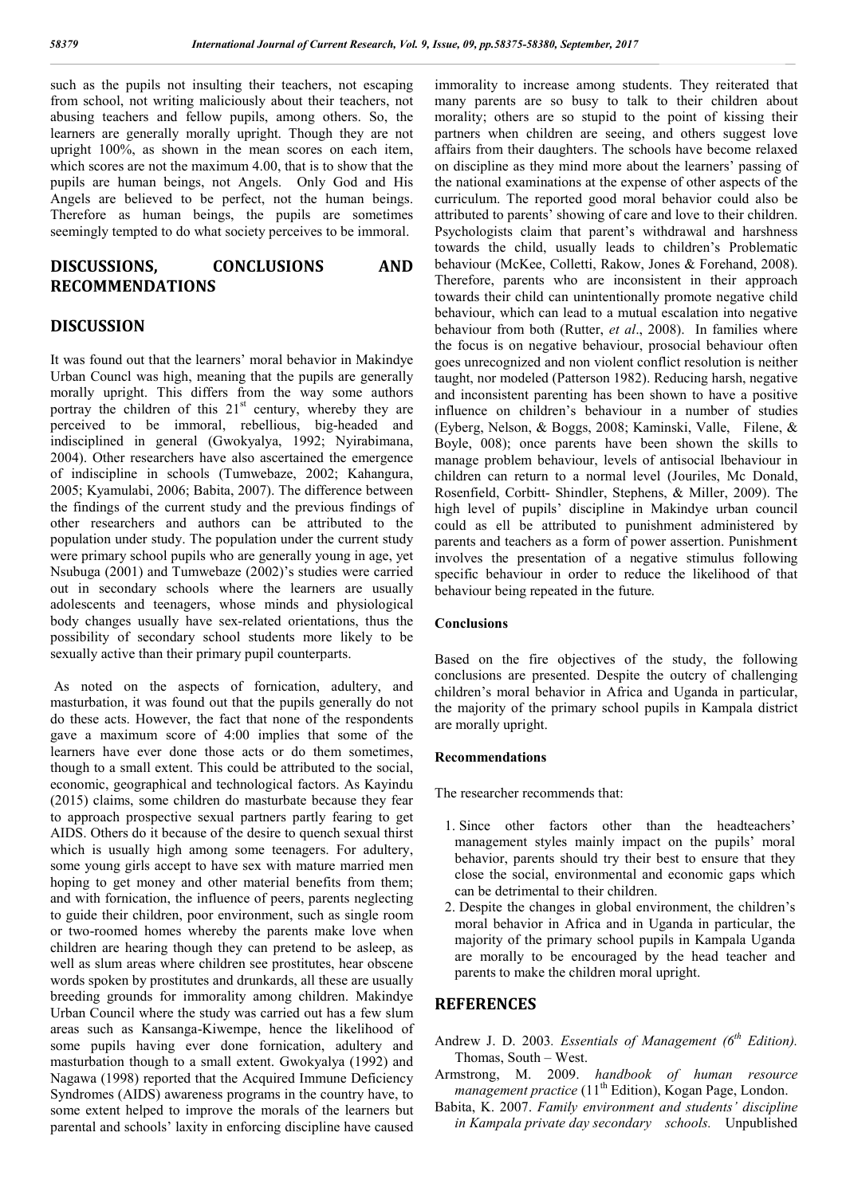such as the pupils not insulting their teachers, not escaping from school, not writing maliciously about their teachers, not abusing teachers and fellow pupils, among others. So, the learners are generally morally upright. Though they are not upright 100%, as shown in the mean scores on each item, which scores are not the maximum 4.00, that is to show that the pupils are human beings, not Angels. Only God and His Angels are believed to be perfect, not the human beings. Therefore as human beings, the pupils are sometimes seemingly tempted to do what society perceives to be immoral.

# **DISCUSSIONS, CONCLUSIONS AND RECOMMENDATIONS**

### **DISCUSSION**

It was found out that the learners' moral behavior in Makindye Urban Councl was high, meaning that the pupils are generally morally upright. This differs from the way some authors portray the children of this  $21<sup>st</sup>$  century, whereby they are perceived to be immoral, rebellious, big-headed and indisciplined in general (Gwokyalya, 1992; Nyirabimana, 2004). Other researchers have also ascertained the emergence of indiscipline in schools (Tumwebaze, 2002; Kahangura, 2005; Kyamulabi, 2006; Babita, 2007). The difference between the findings of the current study and the previous findings of other researchers and authors can be attributed to the population under study. The population under the current study were primary school pupils who are generally young in age, yet Nsubuga (2001) and Tumwebaze (2002)'s studies were carried out in secondary schools where the learners are usually adolescents and teenagers, whose minds and physiological body changes usually have sex-related orientations, thus the possibility of secondary school students more likely to be sexually active than their primary pupil counterparts.

As noted on the aspects of fornication, adultery, and masturbation, it was found out that the pupils generally do not do these acts. However, the fact that none of the respondents gave a maximum score of 4:00 implies that some of the learners have ever done those acts or do them sometimes, though to a small extent. This could be attributed to the social, economic, geographical and technological factors. As Kayindu (2015) claims, some children do masturbate because they fear to approach prospective sexual partners partly fearing to get AIDS. Others do it because of the desire to quench sexual thirst which is usually high among some teenagers. For adultery, some young girls accept to have sex with mature married men hoping to get money and other material benefits from them; and with fornication, the influence of peers, parents neglecting to guide their children, poor environment, such as single room or two-roomed homes whereby the parents make love when children are hearing though they can pretend to be asleep, as well as slum areas where children see prostitutes, hear obscene words spoken by prostitutes and drunkards, all these are usually breeding grounds for immorality among children. Makindye Urban Council where the study was carried out has a few slum areas such as Kansanga-Kiwempe, hence the likelihood of some pupils having ever done fornication, adultery and masturbation though to a small extent. Gwokyalya (1992) and Nagawa (1998) reported that the Acquired Immune Deficiency Syndromes (AIDS) awareness programs in the country have, to some extent helped to improve the morals of the learners but parental and schools' laxity in enforcing discipline have caused immorality to increase among students. They reiterated that many parents are so busy to talk to their children about morality; others are so stupid to the point of kissing their partners when children are seeing, and others suggest love affairs from their daughters. The schools have become relaxed on discipline as they mind more about the learners' passing of the national examinations at the expense of other aspects of the curriculum. The reported good moral behavior could also be attributed to parents' showing of care and love to their children. Psychologists claim that parent's withdrawal and harshness towards the child, usually leads to children's Problematic behaviour (McKee, Colletti, Rakow, Jones & Forehand, 2008). Therefore, parents who are inconsistent in their approach towards their child can unintentionally promote negative child behaviour, which can lead to a mutual escalation into negative behaviour from both (Rutter, *et al*., 2008). In families where the focus is on negative behaviour, prosocial behaviour often goes unrecognized and non violent conflict resolution is neither taught, nor modeled (Patterson 1982). Reducing harsh, negative and inconsistent parenting has been shown to have a positive influence on children's behaviour in a number of studies (Eyberg, Nelson, & Boggs, 2008; Kaminski, Valle, Filene, & Boyle, 008); once parents have been shown the skills to manage problem behaviour, levels of antisocial lbehaviour in children can return to a normal level (Jouriles, Mc Donald, Rosenfield, Corbitt- Shindler, Stephens, & Miller, 2009). The high level of pupils' discipline in Makindye urban council could as ell be attributed to punishment administered by parents and teachers as a form of power assertion. Punishment involves the presentation of a negative stimulus following specific behaviour in order to reduce the likelihood of that behaviour being repeated in the future.

#### **Conclusions**

Based on the fire objectives of the study, the following conclusions are presented. Despite the outcry of challenging children's moral behavior in Africa and Uganda in particular, the majority of the primary school pupils in Kampala district are morally upright.

#### **Recommendations**

The researcher recommends that:

- 1. Since other factors other than the headteachers' management styles mainly impact on the pupils' moral behavior, parents should try their best to ensure that they close the social, environmental and economic gaps which can be detrimental to their children.
- 2. Despite the changes in global environment, the children's moral behavior in Africa and in Uganda in particular, the majority of the primary school pupils in Kampala Uganda are morally to be encouraged by the head teacher and parents to make the children moral upright.

## **REFERENCES**

- Andrew J. D. 2003*. Essentials of Management (6th Edition).* Thomas, South – West.
- Armstrong, M. 2009. *handbook of human resource management practice* (11<sup>th</sup> Edition), Kogan Page, London.
- Babita, K. 2007. *Family environment and students' discipline in Kampala private day secondary schools.* Unpublished